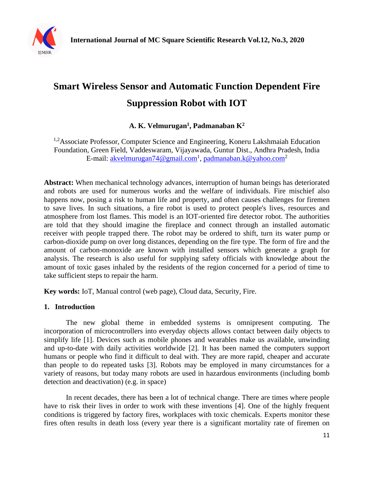

# **Smart Wireless Sensor and Automatic Function Dependent Fire Suppression Robot with IOT**

## **A. K. Velmurugan<sup>1</sup> , Padmanaban K<sup>2</sup>**

<sup>1,2</sup>Associate Professor, Computer Science and Engineering, Koneru Lakshmaiah Education Foundation, Green Field, Vaddeswaram, Vijayawada, Guntur Dist., Andhra Pradesh, India E-mail: <u>akvelmurugan74@gmail.com<sup>1</sup>, [padmanaban.k@yahoo.com](mailto:padmanaban.k@yahoo.com)<sup>2</sup></u>

**Abstract:** When mechanical technology advances, interruption of human beings has deteriorated and robots are used for numerous works and the welfare of individuals. Fire mischief also happens now, posing a risk to human life and property, and often causes challenges for firemen to save lives. In such situations, a fire robot is used to protect people's lives, resources and atmosphere from lost flames. This model is an IOT-oriented fire detector robot. The authorities are told that they should imagine the fireplace and connect through an installed automatic receiver with people trapped there. The robot may be ordered to shift, turn its water pump or carbon-dioxide pump on over long distances, depending on the fire type. The form of fire and the amount of carbon-monoxide are known with installed sensors which generate a graph for analysis. The research is also useful for supplying safety officials with knowledge about the amount of toxic gases inhaled by the residents of the region concerned for a period of time to take sufficient steps to repair the harm.

**Key words:** IoT, Manual control (web page), Cloud data, Security, Fire.

## **1. Introduction**

The new global theme in embedded systems is omnipresent computing. The incorporation of microcontrollers into everyday objects allows contact between daily objects to simplify life [1]. Devices such as mobile phones and wearables make us available, unwinding and up-to-date with daily activities worldwide [2]. It has been named the computers support humans or people who find it difficult to deal with. They are more rapid, cheaper and accurate than people to do repeated tasks [3]. Robots may be employed in many circumstances for a variety of reasons, but today many robots are used in hazardous environments (including bomb detection and deactivation) (e.g. in space)

In recent decades, there has been a lot of technical change. There are times where people have to risk their lives in order to work with these inventions [4]. One of the highly frequent conditions is triggered by factory fires, workplaces with toxic chemicals. Experts monitor these fires often results in death loss (every year there is a significant mortality rate of firemen on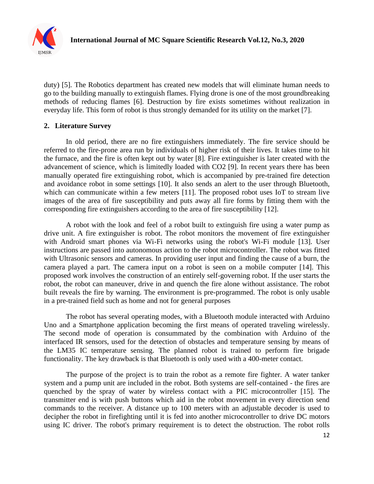

duty) [5]. The Robotics department has created new models that will eliminate human needs to go to the building manually to extinguish flames. Flying drone is one of the most groundbreaking methods of reducing flames [6]. Destruction by fire exists sometimes without realization in everyday life. This form of robot is thus strongly demanded for its utility on the market [7].

## **2. Literature Survey**

In old period, there are no fire extinguishers immediately. The fire service should be referred to the fire-prone area run by individuals of higher risk of their lives. It takes time to hit the furnace, and the fire is often kept out by water [8]. Fire extinguisher is later created with the advancement of science, which is limitedly loaded with CO2 [9]. In recent years there has been manually operated fire extinguishing robot, which is accompanied by pre-trained fire detection and avoidance robot in some settings [10]. It also sends an alert to the user through Bluetooth, which can communicate within a few meters [11]. The proposed robot uses IoT to stream live images of the area of fire susceptibility and puts away all fire forms by fitting them with the corresponding fire extinguishers according to the area of fire susceptibility [12].

A robot with the look and feel of a robot built to extinguish fire using a water pump as drive unit. A fire extinguisher is robot. The robot monitors the movement of fire extinguisher with Android smart phones via Wi-Fi networks using the robot's Wi-Fi module [13]. User instructions are passed into autonomous action to the robot microcontroller. The robot was fitted with Ultrasonic sensors and cameras. In providing user input and finding the cause of a burn, the camera played a part. The camera input on a robot is seen on a mobile computer [14]. This proposed work involves the construction of an entirely self-governing robot. If the user starts the robot, the robot can maneuver, drive in and quench the fire alone without assistance. The robot built reveals the fire by warning. The environment is pre-programmed. The robot is only usable in a pre-trained field such as home and not for general purposes

The robot has several operating modes, with a Bluetooth module interacted with Arduino Uno and a Smartphone application becoming the first means of operated traveling wirelessly. The second mode of operation is consummated by the combination with Arduino of the interfaced IR sensors, used for the detection of obstacles and temperature sensing by means of the LM35 IC temperature sensing. The planned robot is trained to perform fire brigade functionality. The key drawback is that Bluetooth is only used with a 400-meter contact.

The purpose of the project is to train the robot as a remote fire fighter. A water tanker system and a pump unit are included in the robot. Both systems are self-contained - the fires are quenched by the spray of water by wireless contact with a PIC microcontroller [15]. The transmitter end is with push buttons which aid in the robot movement in every direction send commands to the receiver. A distance up to 100 meters with an adjustable decoder is used to decipher the robot in firefighting until it is fed into another microcontroller to drive DC motors using IC driver. The robot's primary requirement is to detect the obstruction. The robot rolls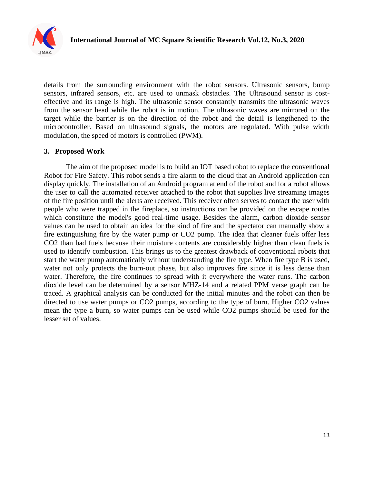

details from the surrounding environment with the robot sensors. Ultrasonic sensors, bump sensors, infrared sensors, etc. are used to unmask obstacles. The Ultrasound sensor is costeffective and its range is high. The ultrasonic sensor constantly transmits the ultrasonic waves from the sensor head while the robot is in motion. The ultrasonic waves are mirrored on the target while the barrier is on the direction of the robot and the detail is lengthened to the microcontroller. Based on ultrasound signals, the motors are regulated. With pulse width modulation, the speed of motors is controlled (PWM).

#### **3. Proposed Work**

The aim of the proposed model is to build an IOT based robot to replace the conventional Robot for Fire Safety. This robot sends a fire alarm to the cloud that an Android application can display quickly. The installation of an Android program at end of the robot and for a robot allows the user to call the automated receiver attached to the robot that supplies live streaming images of the fire position until the alerts are received. This receiver often serves to contact the user with people who were trapped in the fireplace, so instructions can be provided on the escape routes which constitute the model's good real-time usage. Besides the alarm, carbon dioxide sensor values can be used to obtain an idea for the kind of fire and the spectator can manually show a fire extinguishing fire by the water pump or CO2 pump. The idea that cleaner fuels offer less CO2 than bad fuels because their moisture contents are considerably higher than clean fuels is used to identify combustion. This brings us to the greatest drawback of conventional robots that start the water pump automatically without understanding the fire type. When fire type B is used, water not only protects the burn-out phase, but also improves fire since it is less dense than water. Therefore, the fire continues to spread with it everywhere the water runs. The carbon dioxide level can be determined by a sensor MHZ-14 and a related PPM verse graph can be traced. A graphical analysis can be conducted for the initial minutes and the robot can then be directed to use water pumps or CO2 pumps, according to the type of burn. Higher CO2 values mean the type a burn, so water pumps can be used while CO2 pumps should be used for the lesser set of values.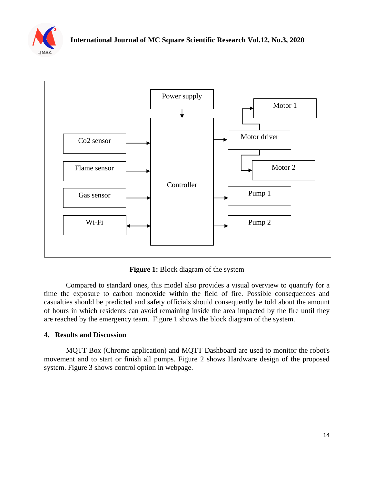



**Figure 1:** Block diagram of the system

Compared to standard ones, this model also provides a visual overview to quantify for a time the exposure to carbon monoxide within the field of fire. Possible consequences and casualties should be predicted and safety officials should consequently be told about the amount of hours in which residents can avoid remaining inside the area impacted by the fire until they are reached by the emergency team. Figure 1 shows the block diagram of the system.

## **4. Results and Discussion**

MQTT Box (Chrome application) and MQTT Dashboard are used to monitor the robot's movement and to start or finish all pumps. Figure 2 shows Hardware design of the proposed system. Figure 3 shows control option in webpage.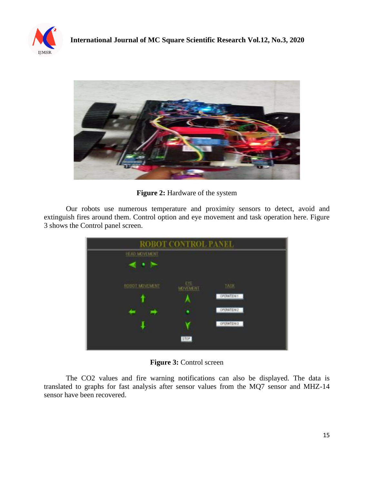



**Figure 2:** Hardware of the system

Our robots use numerous temperature and proximity sensors to detect, avoid and extinguish fires around them. Control option and eye movement and task operation here. Figure 3 shows the Control panel screen.

| ROBOT CONTROL PANEL |                         |                   |
|---------------------|-------------------------|-------------------|
| HEAL MC VEMENT      |                         |                   |
| ∼<br>٠              |                         |                   |
| ROBOT MOVEMENT      | EYE:<br><b>MOVEMENT</b> | <b>TASK</b>       |
|                     |                         | OPERATION 1       |
|                     | ۶                       | OPERATION2        |
|                     |                         | <b>OPERATIONS</b> |
| STOP                |                         |                   |

**Figure 3:** Control screen

The CO2 values and fire warning notifications can also be displayed. The data is translated to graphs for fast analysis after sensor values from the MQ7 sensor and MHZ-14 sensor have been recovered.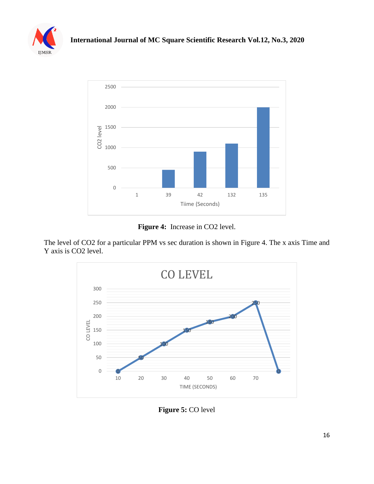



**Figure 4:** Increase in CO2 level.

The level of CO2 for a particular PPM vs sec duration is shown in Figure 4. The x axis Time and Y axis is CO2 level.



**Figure 5:** CO level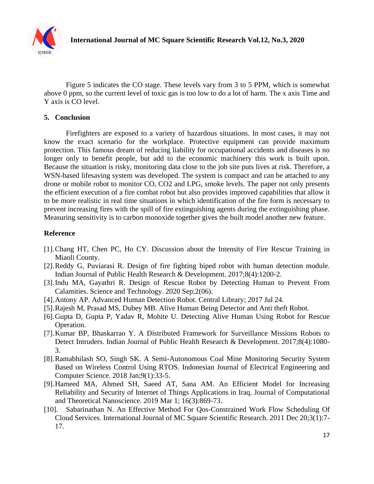

Figure 5 indicates the CO stage. These levels vary from 3 to 5 PPM, which is somewhat above 0 ppm, so the current level of toxic gas is too low to do a lot of harm. The x axis Time and Y axis is CO level.

## **5. Conclusion**

Firefighters are exposed to a variety of hazardous situations. In most cases, it may not know the exact scenario for the workplace. Protective equipment can provide maximum protection. This famous dream of reducing liability for occupational accidents and diseases is no longer only to benefit people, but add to the economic machinery this work is built upon. Because the situation is risky, monitoring data close to the job site puts lives at risk. Therefore, a WSN-based lifesaving system was developed. The system is compact and can be attached to any drone or mobile robot to monitor CO, CO2 and LPG, smoke levels. The paper not only presents the efficient execution of a fire combat robot but also provides improved capabilities that allow it to be more realistic in real time situations in which identification of the fire form is necessary to prevent increasing fires with the spill of fire extinguishing agents during the extinguishing phase. Measuring sensitivity is to carbon monoxide together gives the built model another new feature.

#### **Reference**

- [1].Chang HT, Chen PC, Ho CY. Discussion about the Intensity of Fire Rescue Training in Miaoli County.
- [2].Reddy G, Puviarasi R. Design of fire fighting biped robot with human detection module. Indian Journal of Public Health Research & Development. 2017;8(4):1200-2.
- [3].Indu MA, Gayathri R. Design of Rescue Robot by Detecting Human to Prevent From Calamities. Science and Technology. 2020 Sep;2(06).
- [4].Antony AP. Advanced Human Detection Robot. Central Library; 2017 Jul 24.
- [5].Rajesh M, Prasad MS, Dubey MB. Alive Human Being Detector and Anti theft Robot.
- [6].Gupta D, Gupta P, Yadav R, Mohite U. Detecting Alive Human Using Robot for Rescue Operation.
- [7].Kumar BP, Bhaskarrao Y. A Distributed Framework for Surveillance Missions Robots to Detect Intruders. Indian Journal of Public Health Research & Development. 2017;8(4):1080- 3.
- [8].Ramabhilash SO, Singh SK. A Semi-Autonomous Coal Mine Monitoring Security System Based on Wireless Control Using RTOS. Indonesian Journal of Electrical Engineering and Computer Science. 2018 Jan;9(1):33-5.
- [9].Hameed MA, Ahmed SH, Saeed AT, Sana AM. An Efficient Model for Increasing Reliability and Security of Internet of Things Applications in Iraq. Journal of Computational and Theoretical Nanoscience. 2019 Mar 1; 16(3):869-73.
- [10]. Sabarinathan N. An Effective Method For Qos-Constrained Work Flow Scheduling Of Cloud Services. International Journal of MC Square Scientific Research. 2011 Dec 20;3(1):7- 17.